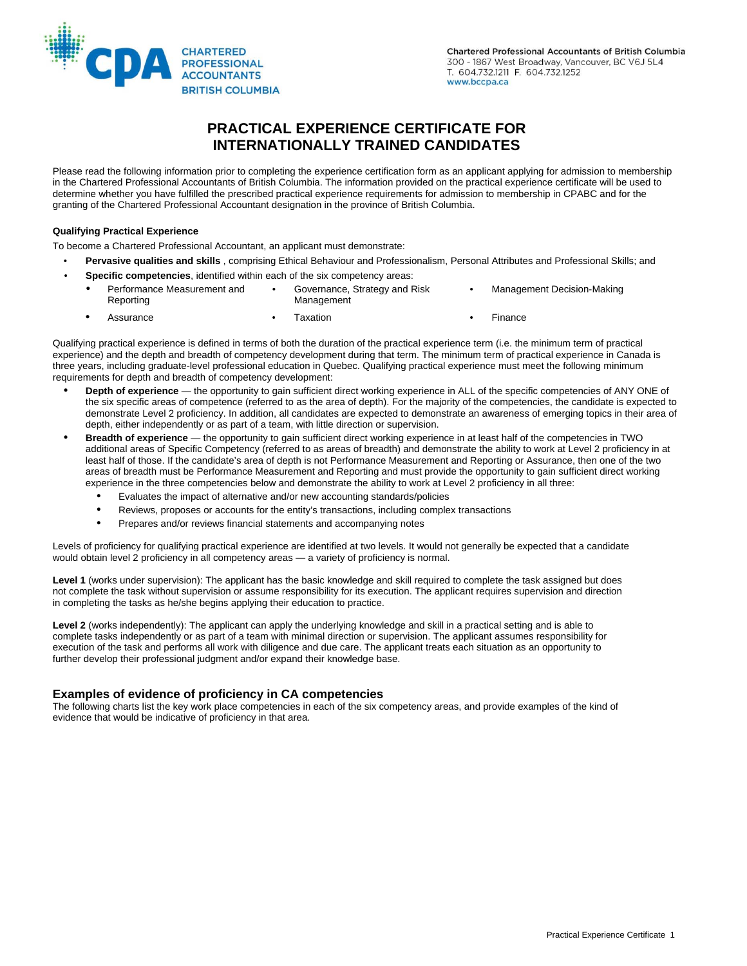

# **PRACTICAL EXPERIENCE CERTIFICATE FOR INTERNATIONALLY TRAINED CANDIDATES**

Please read the following information prior to completing the experience certification form as an applicant applying for admission to membership in the Chartered Professional Accountants of British Columbia. The information provided on the practical experience certificate will be used to determine whether you have fulfilled the prescribed practical experience requirements for admission to membership in CPABC and for the granting of the Chartered Professional Accountant designation in the province of British Columbia.

#### **Qualifying Practical Experience**

To become a Chartered Professional Accountant, an applicant must demonstrate:

- **Pervasive qualities and skills** , comprising Ethical Behaviour and Professionalism, Personal Attributes and Professional Skills; and
- **Specific competencies**, identified within each of the six competency areas:
	- Performance Measurement and Governance, Strategy and Risk Management Decision-Making Management • Assurance • Taxation • Taxation • Finance
- Qualifying practical experience is defined in terms of both the duration of the practical experience term (i.e. the minimum term of practical experience) and the depth and breadth of competency development during that term. The minimum term of practical experience in Canada is three years, including graduate-level professional education in Quebec. Qualifying practical experience must meet the following minimum requirements for depth and breadth of competency development:
	- **Depth of experience** the opportunity to gain sufficient direct working experience in ALL of the specific competencies of ANY ONE of the six specific areas of competence (referred to as the area of depth). For the majority of the competencies, the candidate is expected to demonstrate Level 2 proficiency. In addition, all candidates are expected to demonstrate an awareness of emerging topics in their area of depth, either independently or as part of a team, with little direction or supervision.
	- **Breadth of experience** the opportunity to gain sufficient direct working experience in at least half of the competencies in TWO additional areas of Specific Competency (referred to as areas of breadth) and demonstrate the ability to work at Level 2 proficiency in at least half of those. If the candidate's area of depth is not Performance Measurement and Reporting or Assurance, then one of the two areas of breadth must be Performance Measurement and Reporting and must provide the opportunity to gain sufficient direct working experience in the three competencies below and demonstrate the ability to work at Level 2 proficiency in all three:
		- Evaluates the impact of alternative and/or new accounting standards/policies
		- Reviews, proposes or accounts for the entity's transactions, including complex transactions
		- Prepares and/or reviews financial statements and accompanying notes

Levels of proficiency for qualifying practical experience are identified at two levels. It would not generally be expected that a candidate would obtain level 2 proficiency in all competency areas — a variety of proficiency is normal.

Level 1 (works under supervision): The applicant has the basic knowledge and skill required to complete the task assigned but does not complete the task without supervision or assume responsibility for its execution. The applicant requires supervision and direction in completing the tasks as he/she begins applying their education to practice.

**Level 2** (works independently): The applicant can apply the underlying knowledge and skill in a practical setting and is able to complete tasks independently or as part of a team with minimal direction or supervision. The applicant assumes responsibility for execution of the task and performs all work with diligence and due care. The applicant treats each situation as an opportunity to further develop their professional judgment and/or expand their knowledge base.

### **Examples of evidence of proficiency in CA competencies**

The following charts list the key work place competencies in each of the six competency areas, and provide examples of the kind of evidence that would be indicative of proficiency in that area.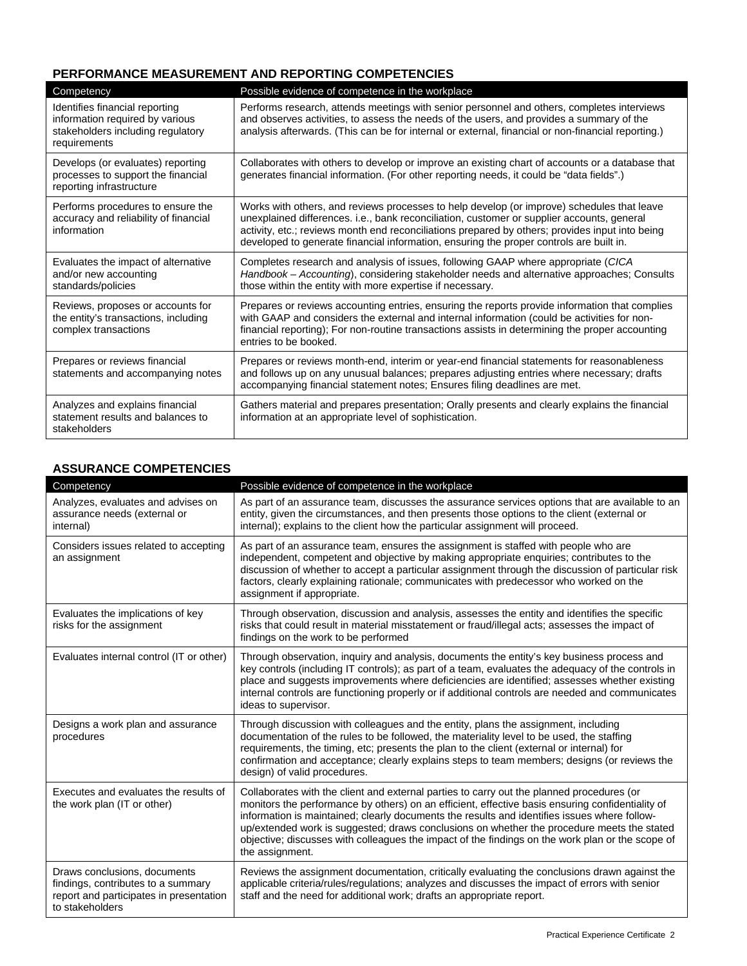## **PERFORMANCE MEASUREMENT AND REPORTING COMPETENCIES**

| Competency                                                                                                             | Possible evidence of competence in the workplace                                                                                                                                                                                                                                                                                                                                       |
|------------------------------------------------------------------------------------------------------------------------|----------------------------------------------------------------------------------------------------------------------------------------------------------------------------------------------------------------------------------------------------------------------------------------------------------------------------------------------------------------------------------------|
| Identifies financial reporting<br>information required by various<br>stakeholders including regulatory<br>requirements | Performs research, attends meetings with senior personnel and others, completes interviews<br>and observes activities, to assess the needs of the users, and provides a summary of the<br>analysis afterwards. (This can be for internal or external, financial or non-financial reporting.)                                                                                           |
| Develops (or evaluates) reporting<br>processes to support the financial<br>reporting infrastructure                    | Collaborates with others to develop or improve an existing chart of accounts or a database that<br>generates financial information. (For other reporting needs, it could be "data fields".)                                                                                                                                                                                            |
| Performs procedures to ensure the<br>accuracy and reliability of financial<br>information                              | Works with others, and reviews processes to help develop (or improve) schedules that leave<br>unexplained differences. i.e., bank reconciliation, customer or supplier accounts, general<br>activity, etc.; reviews month end reconciliations prepared by others; provides input into being<br>developed to generate financial information, ensuring the proper controls are built in. |
| Evaluates the impact of alternative<br>and/or new accounting<br>standards/policies                                     | Completes research and analysis of issues, following GAAP where appropriate (CICA<br>Handbook – Accounting), considering stakeholder needs and alternative approaches; Consults<br>those within the entity with more expertise if necessary.                                                                                                                                           |
| Reviews, proposes or accounts for<br>the entity's transactions, including<br>complex transactions                      | Prepares or reviews accounting entries, ensuring the reports provide information that complies<br>with GAAP and considers the external and internal information (could be activities for non-<br>financial reporting); For non-routine transactions assists in determining the proper accounting<br>entries to be booked.                                                              |
| Prepares or reviews financial<br>statements and accompanying notes                                                     | Prepares or reviews month-end, interim or year-end financial statements for reasonableness<br>and follows up on any unusual balances; prepares adjusting entries where necessary; drafts<br>accompanying financial statement notes; Ensures filing deadlines are met.                                                                                                                  |
| Analyzes and explains financial<br>statement results and balances to<br>stakeholders                                   | Gathers material and prepares presentation; Orally presents and clearly explains the financial<br>information at an appropriate level of sophistication.                                                                                                                                                                                                                               |

### **ASSURANCE COMPETENCIES**

| Competency                                                                                                                       | Possible evidence of competence in the workplace                                                                                                                                                                                                                                                                                                                                                                                                                                                                   |
|----------------------------------------------------------------------------------------------------------------------------------|--------------------------------------------------------------------------------------------------------------------------------------------------------------------------------------------------------------------------------------------------------------------------------------------------------------------------------------------------------------------------------------------------------------------------------------------------------------------------------------------------------------------|
| Analyzes, evaluates and advises on<br>assurance needs (external or<br>internal)                                                  | As part of an assurance team, discusses the assurance services options that are available to an<br>entity, given the circumstances, and then presents those options to the client (external or<br>internal); explains to the client how the particular assignment will proceed.                                                                                                                                                                                                                                    |
| Considers issues related to accepting<br>an assignment                                                                           | As part of an assurance team, ensures the assignment is staffed with people who are<br>independent, competent and objective by making appropriate enquiries; contributes to the<br>discussion of whether to accept a particular assignment through the discussion of particular risk<br>factors, clearly explaining rationale; communicates with predecessor who worked on the<br>assignment if appropriate.                                                                                                       |
| Evaluates the implications of key<br>risks for the assignment                                                                    | Through observation, discussion and analysis, assesses the entity and identifies the specific<br>risks that could result in material misstatement or fraud/illegal acts; assesses the impact of<br>findings on the work to be performed                                                                                                                                                                                                                                                                            |
| Evaluates internal control (IT or other)                                                                                         | Through observation, inquiry and analysis, documents the entity's key business process and<br>key controls (including IT controls); as part of a team, evaluates the adequacy of the controls in<br>place and suggests improvements where deficiencies are identified; assesses whether existing<br>internal controls are functioning properly or if additional controls are needed and communicates<br>ideas to supervisor.                                                                                       |
| Designs a work plan and assurance<br>procedures                                                                                  | Through discussion with colleagues and the entity, plans the assignment, including<br>documentation of the rules to be followed, the materiality level to be used, the staffing<br>requirements, the timing, etc; presents the plan to the client (external or internal) for<br>confirmation and acceptance; clearly explains steps to team members; designs (or reviews the<br>design) of valid procedures.                                                                                                       |
| Executes and evaluates the results of<br>the work plan (IT or other)                                                             | Collaborates with the client and external parties to carry out the planned procedures (or<br>monitors the performance by others) on an efficient, effective basis ensuring confidentiality of<br>information is maintained; clearly documents the results and identifies issues where follow-<br>up/extended work is suggested; draws conclusions on whether the procedure meets the stated<br>objective; discusses with colleagues the impact of the findings on the work plan or the scope of<br>the assignment. |
| Draws conclusions, documents<br>findings, contributes to a summary<br>report and participates in presentation<br>to stakeholders | Reviews the assignment documentation, critically evaluating the conclusions drawn against the<br>applicable criteria/rules/regulations; analyzes and discusses the impact of errors with senior<br>staff and the need for additional work; drafts an appropriate report.                                                                                                                                                                                                                                           |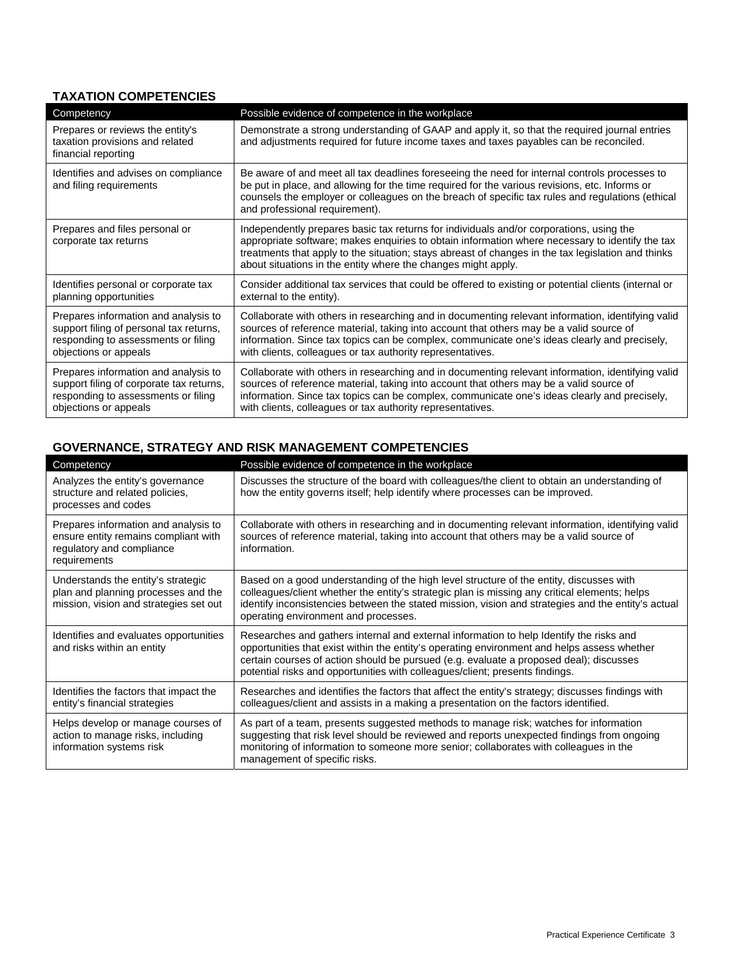## **TAXATION COMPETENCIES**

| Competency                                                                                                                                       | Possible evidence of competence in the workplace                                                                                                                                                                                                                                                                                                                  |
|--------------------------------------------------------------------------------------------------------------------------------------------------|-------------------------------------------------------------------------------------------------------------------------------------------------------------------------------------------------------------------------------------------------------------------------------------------------------------------------------------------------------------------|
| Prepares or reviews the entity's<br>taxation provisions and related<br>financial reporting                                                       | Demonstrate a strong understanding of GAAP and apply it, so that the required journal entries<br>and adjustments required for future income taxes and taxes payables can be reconciled.                                                                                                                                                                           |
| Identifies and advises on compliance<br>and filing requirements                                                                                  | Be aware of and meet all tax deadlines foreseeing the need for internal controls processes to<br>be put in place, and allowing for the time required for the various revisions, etc. Informs or<br>counsels the employer or colleagues on the breach of specific tax rules and regulations (ethical<br>and professional requirement).                             |
| Prepares and files personal or<br>corporate tax returns                                                                                          | Independently prepares basic tax returns for individuals and/or corporations, using the<br>appropriate software; makes enquiries to obtain information where necessary to identify the tax<br>treatments that apply to the situation; stays abreast of changes in the tax legislation and thinks<br>about situations in the entity where the changes might apply. |
| Identifies personal or corporate tax<br>planning opportunities                                                                                   | Consider additional tax services that could be offered to existing or potential clients (internal or<br>external to the entity).                                                                                                                                                                                                                                  |
| Prepares information and analysis to<br>support filing of personal tax returns,<br>responding to assessments or filing<br>objections or appeals  | Collaborate with others in researching and in documenting relevant information, identifying valid<br>sources of reference material, taking into account that others may be a valid source of<br>information. Since tax topics can be complex, communicate one's ideas clearly and precisely,<br>with clients, colleagues or tax authority representatives.        |
| Prepares information and analysis to<br>support filing of corporate tax returns,<br>responding to assessments or filing<br>objections or appeals | Collaborate with others in researching and in documenting relevant information, identifying valid<br>sources of reference material, taking into account that others may be a valid source of<br>information. Since tax topics can be complex, communicate one's ideas clearly and precisely,<br>with clients, colleagues or tax authority representatives.        |

# **GOVERNANCE, STRATEGY AND RISK MANAGEMENT COMPETENCIES**

| Competency                                                                                                                | Possible evidence of competence in the workplace                                                                                                                                                                                                                                                                                                                 |
|---------------------------------------------------------------------------------------------------------------------------|------------------------------------------------------------------------------------------------------------------------------------------------------------------------------------------------------------------------------------------------------------------------------------------------------------------------------------------------------------------|
| Analyzes the entity's governance<br>structure and related policies,<br>processes and codes                                | Discusses the structure of the board with colleagues/the client to obtain an understanding of<br>how the entity governs itself; help identify where processes can be improved.                                                                                                                                                                                   |
| Prepares information and analysis to<br>ensure entity remains compliant with<br>regulatory and compliance<br>requirements | Collaborate with others in researching and in documenting relevant information, identifying valid<br>sources of reference material, taking into account that others may be a valid source of<br>information.                                                                                                                                                     |
| Understands the entity's strategic<br>plan and planning processes and the<br>mission, vision and strategies set out       | Based on a good understanding of the high level structure of the entity, discusses with<br>colleagues/client whether the entity's strategic plan is missing any critical elements; helps<br>identify inconsistencies between the stated mission, vision and strategies and the entity's actual<br>operating environment and processes.                           |
| Identifies and evaluates opportunities<br>and risks within an entity                                                      | Researches and gathers internal and external information to help Identify the risks and<br>opportunities that exist within the entity's operating environment and helps assess whether<br>certain courses of action should be pursued (e.g. evaluate a proposed deal); discusses<br>potential risks and opportunities with colleagues/client; presents findings. |
| Identifies the factors that impact the<br>entity's financial strategies                                                   | Researches and identifies the factors that affect the entity's strategy; discusses findings with<br>colleagues/client and assists in a making a presentation on the factors identified.                                                                                                                                                                          |
| Helps develop or manage courses of<br>action to manage risks, including<br>information systems risk                       | As part of a team, presents suggested methods to manage risk; watches for information<br>suggesting that risk level should be reviewed and reports unexpected findings from ongoing<br>monitoring of information to someone more senior; collaborates with colleagues in the<br>management of specific risks.                                                    |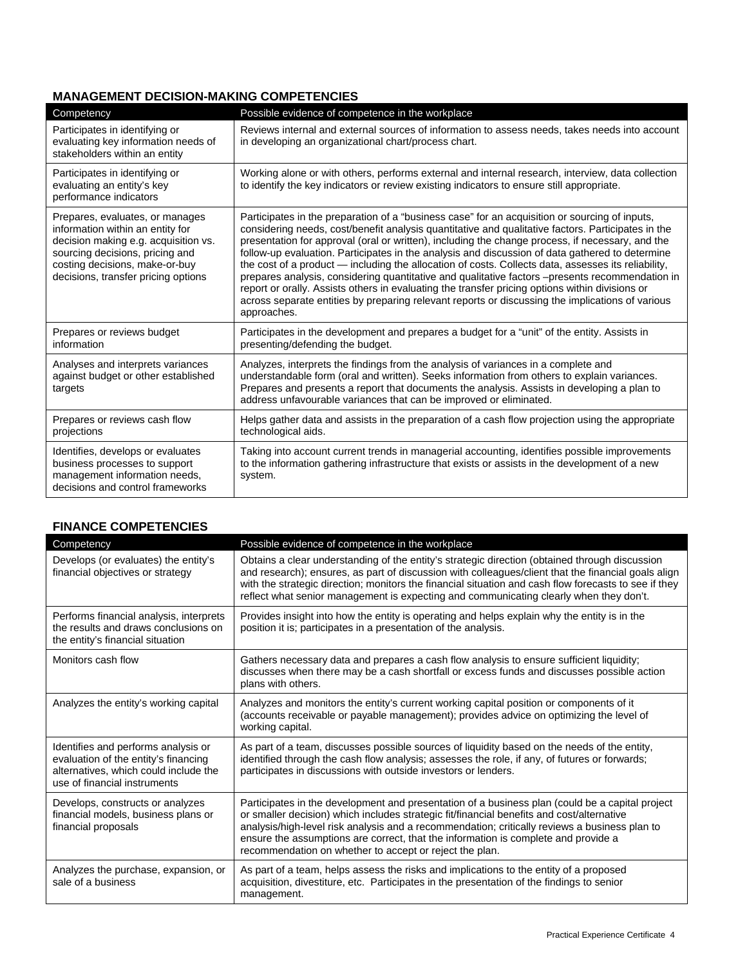# **MANAGEMENT DECISION-MAKING COMPETENCIES**

| Competency                                                                                                                                                                                                              | Possible evidence of competence in the workplace                                                                                                                                                                                                                                                                                                                                                                                                                                                                                                                                                                                                                                                                                                                                                                                            |
|-------------------------------------------------------------------------------------------------------------------------------------------------------------------------------------------------------------------------|---------------------------------------------------------------------------------------------------------------------------------------------------------------------------------------------------------------------------------------------------------------------------------------------------------------------------------------------------------------------------------------------------------------------------------------------------------------------------------------------------------------------------------------------------------------------------------------------------------------------------------------------------------------------------------------------------------------------------------------------------------------------------------------------------------------------------------------------|
| Participates in identifying or<br>evaluating key information needs of<br>stakeholders within an entity                                                                                                                  | Reviews internal and external sources of information to assess needs, takes needs into account<br>in developing an organizational chart/process chart.                                                                                                                                                                                                                                                                                                                                                                                                                                                                                                                                                                                                                                                                                      |
| Participates in identifying or<br>evaluating an entity's key<br>performance indicators                                                                                                                                  | Working alone or with others, performs external and internal research, interview, data collection<br>to identify the key indicators or review existing indicators to ensure still appropriate.                                                                                                                                                                                                                                                                                                                                                                                                                                                                                                                                                                                                                                              |
| Prepares, evaluates, or manages<br>information within an entity for<br>decision making e.g. acquisition vs.<br>sourcing decisions, pricing and<br>costing decisions, make-or-buy<br>decisions, transfer pricing options | Participates in the preparation of a "business case" for an acquisition or sourcing of inputs,<br>considering needs, cost/benefit analysis quantitative and qualitative factors. Participates in the<br>presentation for approval (oral or written), including the change process, if necessary, and the<br>follow-up evaluation. Participates in the analysis and discussion of data gathered to determine<br>the cost of a product — including the allocation of costs. Collects data, assesses its reliability,<br>prepares analysis, considering quantitative and qualitative factors -presents recommendation in<br>report or orally. Assists others in evaluating the transfer pricing options within divisions or<br>across separate entities by preparing relevant reports or discussing the implications of various<br>approaches. |
| Prepares or reviews budget<br>information                                                                                                                                                                               | Participates in the development and prepares a budget for a "unit" of the entity. Assists in<br>presenting/defending the budget.                                                                                                                                                                                                                                                                                                                                                                                                                                                                                                                                                                                                                                                                                                            |
| Analyses and interprets variances<br>against budget or other established<br>targets                                                                                                                                     | Analyzes, interprets the findings from the analysis of variances in a complete and<br>understandable form (oral and written). Seeks information from others to explain variances.<br>Prepares and presents a report that documents the analysis. Assists in developing a plan to<br>address unfavourable variances that can be improved or eliminated.                                                                                                                                                                                                                                                                                                                                                                                                                                                                                      |
| Prepares or reviews cash flow<br>projections                                                                                                                                                                            | Helps gather data and assists in the preparation of a cash flow projection using the appropriate<br>technological aids.                                                                                                                                                                                                                                                                                                                                                                                                                                                                                                                                                                                                                                                                                                                     |
| Identifies, develops or evaluates<br>business processes to support<br>management information needs,<br>decisions and control frameworks                                                                                 | Taking into account current trends in managerial accounting, identifies possible improvements<br>to the information gathering infrastructure that exists or assists in the development of a new<br>system.                                                                                                                                                                                                                                                                                                                                                                                                                                                                                                                                                                                                                                  |

| <b>FINANCE COMPETENCIES</b>                                                                                                                          |                                                                                                                                                                                                                                                                                                                                                                                                                                                |
|------------------------------------------------------------------------------------------------------------------------------------------------------|------------------------------------------------------------------------------------------------------------------------------------------------------------------------------------------------------------------------------------------------------------------------------------------------------------------------------------------------------------------------------------------------------------------------------------------------|
| Competency                                                                                                                                           | Possible evidence of competence in the workplace                                                                                                                                                                                                                                                                                                                                                                                               |
| Develops (or evaluates) the entity's<br>financial objectives or strategy                                                                             | Obtains a clear understanding of the entity's strategic direction (obtained through discussion<br>and research); ensures, as part of discussion with colleagues/client that the financial goals align<br>with the strategic direction; monitors the financial situation and cash flow forecasts to see if they<br>reflect what senior management is expecting and communicating clearly when they don't.                                       |
| Performs financial analysis, interprets<br>the results and draws conclusions on<br>the entity's financial situation                                  | Provides insight into how the entity is operating and helps explain why the entity is in the<br>position it is; participates in a presentation of the analysis.                                                                                                                                                                                                                                                                                |
| Monitors cash flow                                                                                                                                   | Gathers necessary data and prepares a cash flow analysis to ensure sufficient liquidity;<br>discusses when there may be a cash shortfall or excess funds and discusses possible action<br>plans with others.                                                                                                                                                                                                                                   |
| Analyzes the entity's working capital                                                                                                                | Analyzes and monitors the entity's current working capital position or components of it<br>(accounts receivable or payable management); provides advice on optimizing the level of<br>working capital.                                                                                                                                                                                                                                         |
| Identifies and performs analysis or<br>evaluation of the entity's financing<br>alternatives, which could include the<br>use of financial instruments | As part of a team, discusses possible sources of liquidity based on the needs of the entity,<br>identified through the cash flow analysis; assesses the role, if any, of futures or forwards;<br>participates in discussions with outside investors or lenders.                                                                                                                                                                                |
| Develops, constructs or analyzes<br>financial models, business plans or<br>financial proposals                                                       | Participates in the development and presentation of a business plan (could be a capital project<br>or smaller decision) which includes strategic fit/financial benefits and cost/alternative<br>analysis/high-level risk analysis and a recommendation; critically reviews a business plan to<br>ensure the assumptions are correct, that the information is complete and provide a<br>recommendation on whether to accept or reject the plan. |
| Analyzes the purchase, expansion, or<br>sale of a business                                                                                           | As part of a team, helps assess the risks and implications to the entity of a proposed<br>acquisition, divestiture, etc. Participates in the presentation of the findings to senior<br>management.                                                                                                                                                                                                                                             |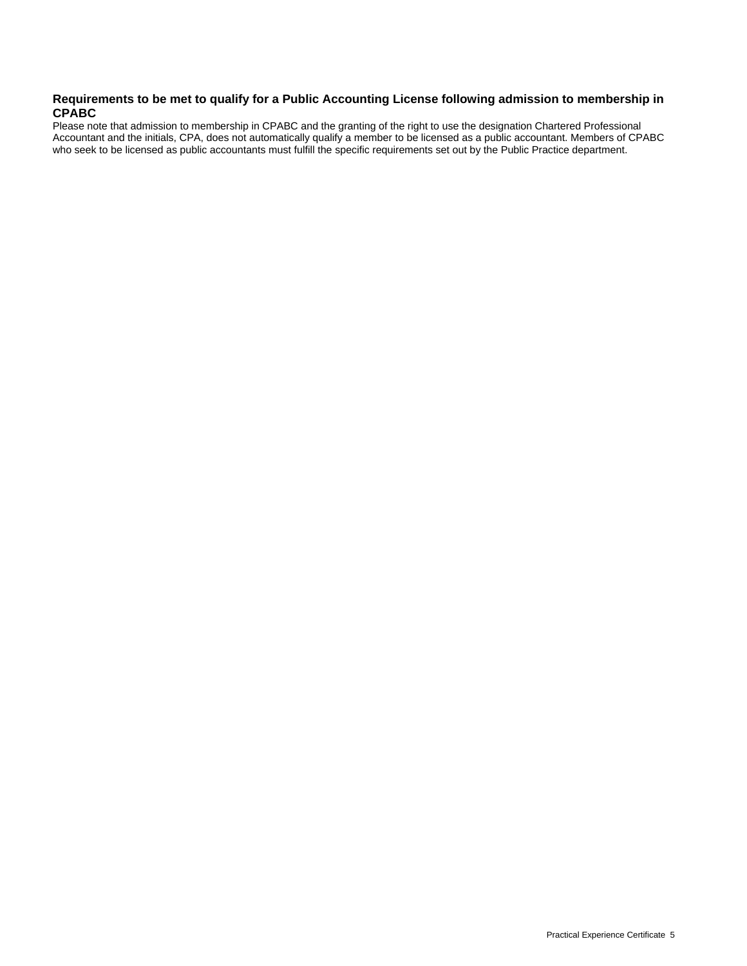#### **Requirements to be met to qualify for a Public Accounting License following admission to membership in CPABC**

Please note that admission to membership in CPABC and the granting of the right to use the designation Chartered Professional Accountant and the initials, CPA, does not automatically qualify a member to be licensed as a public accountant. Members of CPABC who seek to be licensed as public accountants must fulfill the specific requirements set out by the Public Practice department.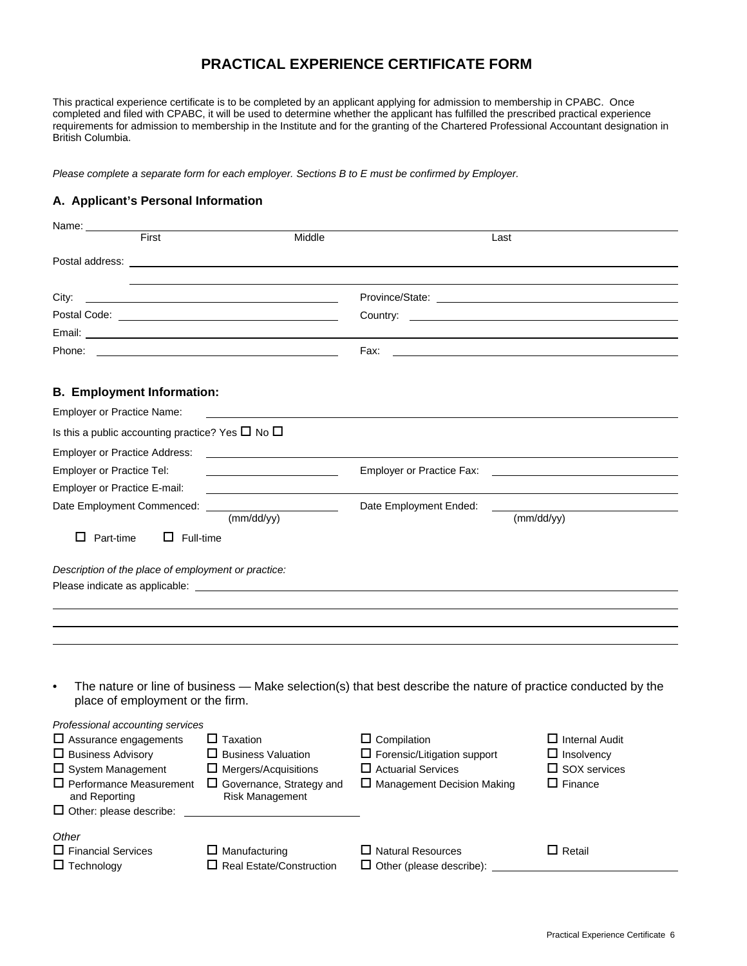# **PRACTICAL EXPERIENCE CERTIFICATE FORM**

This practical experience certificate is to be completed by an applicant applying for admission to membership in CPABC. Once completed and filed with CPABC, it will be used to determine whether the applicant has fulfilled the prescribed practical experience requirements for admission to membership in the Institute and for the granting of the Chartered Professional Accountant designation in British Columbia.

*Please complete a separate form for each employer. Sections B to E must be confirmed by Employer.* 

### **A. Applicant's Personal Information**

| Name: _________                                                  |                                                         |                                                                    |                                                                                                               |
|------------------------------------------------------------------|---------------------------------------------------------|--------------------------------------------------------------------|---------------------------------------------------------------------------------------------------------------|
| First                                                            | Middle                                                  |                                                                    | Last                                                                                                          |
|                                                                  |                                                         |                                                                    |                                                                                                               |
|                                                                  |                                                         |                                                                    |                                                                                                               |
| City:                                                            |                                                         |                                                                    |                                                                                                               |
|                                                                  |                                                         |                                                                    |                                                                                                               |
|                                                                  |                                                         |                                                                    |                                                                                                               |
| Phone:                                                           |                                                         | Fax:                                                               | <u> 1989 - Johann Stein, mars an de Britannich (b. 1989)</u>                                                  |
|                                                                  |                                                         |                                                                    |                                                                                                               |
| <b>B. Employment Information:</b>                                |                                                         |                                                                    |                                                                                                               |
| <b>Employer or Practice Name:</b>                                |                                                         |                                                                    |                                                                                                               |
| Is this a public accounting practice? Yes $\square$ No $\square$ |                                                         |                                                                    |                                                                                                               |
| <b>Employer or Practice Address:</b>                             |                                                         |                                                                    |                                                                                                               |
| Employer or Practice Tel:                                        |                                                         | Employer or Practice Fax:                                          |                                                                                                               |
| Employer or Practice E-mail:                                     |                                                         |                                                                    |                                                                                                               |
| Date Employment Commenced:                                       |                                                         | Date Employment Ended:                                             | (mm/dd/yy)                                                                                                    |
|                                                                  | (mm/dd/yy)                                              |                                                                    |                                                                                                               |
| $\Box$ Part-time<br>$\Box$ Full-time                             |                                                         |                                                                    |                                                                                                               |
| Description of the place of employment or practice:              |                                                         |                                                                    |                                                                                                               |
|                                                                  |                                                         |                                                                    |                                                                                                               |
|                                                                  |                                                         |                                                                    |                                                                                                               |
|                                                                  |                                                         |                                                                    |                                                                                                               |
|                                                                  |                                                         |                                                                    |                                                                                                               |
|                                                                  |                                                         |                                                                    |                                                                                                               |
| $\bullet$                                                        |                                                         |                                                                    | The nature or line of business — Make selection(s) that best describe the nature of practice conducted by the |
| place of employment or the firm.                                 |                                                         |                                                                    |                                                                                                               |
|                                                                  |                                                         |                                                                    |                                                                                                               |
| Professional accounting services<br>$\Box$ Assurance engagements | $\Box$ Taxation                                         | $\Box$ Compilation                                                 | $\Box$ Internal Audit                                                                                         |
| $\Box$ Business Advisory                                         | $\Box$ Business Valuation                               | $\square$ Forensic/Litigation support                              | $\Box$ Insolvency                                                                                             |
| $\square$ System Management                                      | $\Box$ Mergers/Acquisitions                             | $\Box$ Actuarial Services                                          | $\Box$ SOX services                                                                                           |
| $\Box$ Performance Measurement                                   | $\Box$ Governance, Strategy and                         | □ Management Decision Making                                       | $\Box$ Finance                                                                                                |
| and Reporting<br>$\Box$ Other: please describe:                  | Risk Management                                         |                                                                    |                                                                                                               |
|                                                                  |                                                         |                                                                    |                                                                                                               |
| Other                                                            |                                                         |                                                                    |                                                                                                               |
| $\square$ Financial Services<br>$\Box$ Technology                | $\Box$ Manufacturing<br>$\Box$ Real Estate/Construction | $\Box$ Natural Resources<br>$\Box$ Other (please describe): $\Box$ | $\Box$ Retail                                                                                                 |
|                                                                  |                                                         |                                                                    |                                                                                                               |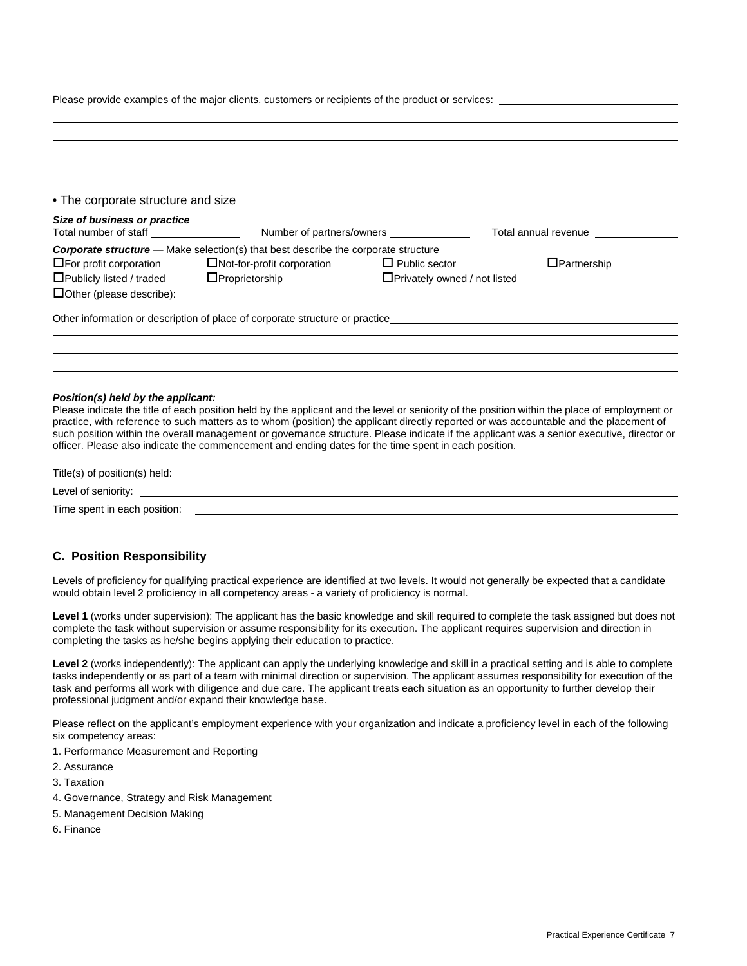Please provide examples of the major clients, customers or recipients of the product or services:

| Total annual revenue | Number of partners/owners ________________ |                                                                                           | Size of business or practice    |
|----------------------|--------------------------------------------|-------------------------------------------------------------------------------------------|---------------------------------|
|                      |                                            | <b>Corporate structure</b> — Make selection(s) that best describe the corporate structure |                                 |
| $\Box$ Partnership   | $\Box$ Public sector                       | $\Box$ Not-for-profit corporation                                                         | $\Box$ For profit corporation   |
|                      | $\Box$ Privately owned / not listed        | $\Box$ Proprietorship                                                                     | $\Box$ Publicly listed / traded |
|                      |                                            |                                                                                           |                                 |
|                      |                                            | Other information or description of place of corporate structure or practice              |                                 |

#### *Position(s) held by the applicant:*

Please indicate the title of each position held by the applicant and the level or seniority of the position within the place of employment or practice, with reference to such matters as to whom (position) the applicant directly reported or was accountable and the placement of such position within the overall management or governance structure. Please indicate if the applicant was a senior executive, director or officer. Please also indicate the commencement and ending dates for the time spent in each position.

| Title(s) of position(s) held: |  |  |
|-------------------------------|--|--|
| Level of seniority:           |  |  |
| Time spent in each position:  |  |  |

#### **C. Position Responsibility**

Levels of proficiency for qualifying practical experience are identified at two levels. It would not generally be expected that a candidate would obtain level 2 proficiency in all competency areas - a variety of proficiency is normal.

**Level 1** (works under supervision): The applicant has the basic knowledge and skill required to complete the task assigned but does not complete the task without supervision or assume responsibility for its execution. The applicant requires supervision and direction in completing the tasks as he/she begins applying their education to practice.

Level 2 (works independently): The applicant can apply the underlying knowledge and skill in a practical setting and is able to complete tasks independently or as part of a team with minimal direction or supervision. The applicant assumes responsibility for execution of the task and performs all work with diligence and due care. The applicant treats each situation as an opportunity to further develop their professional judgment and/or expand their knowledge base.

Please reflect on the applicant's employment experience with your organization and indicate a proficiency level in each of the following six competency areas:

- 1. Performance Measurement and Reporting
- 2. Assurance
- 3. Taxation
- 4. Governance, Strategy and Risk Management
- 5. Management Decision Making
- 6. Finance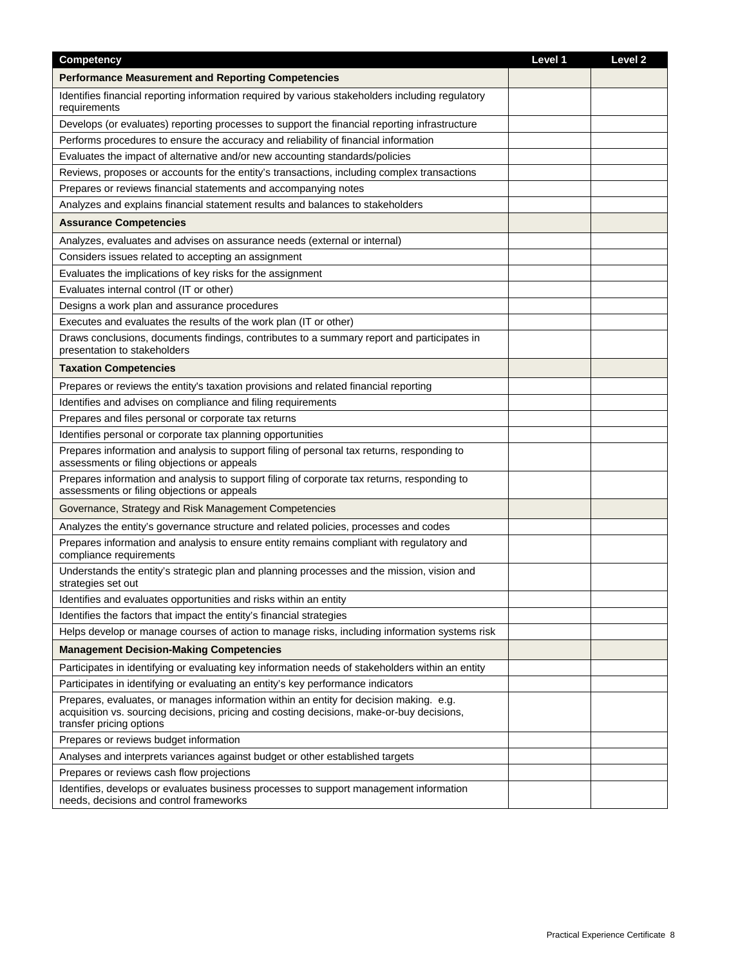| Competency                                                                                                                                                                                                      | Level 1 | Level <sub>2</sub> |
|-----------------------------------------------------------------------------------------------------------------------------------------------------------------------------------------------------------------|---------|--------------------|
| <b>Performance Measurement and Reporting Competencies</b>                                                                                                                                                       |         |                    |
| Identifies financial reporting information required by various stakeholders including regulatory<br>requirements                                                                                                |         |                    |
| Develops (or evaluates) reporting processes to support the financial reporting infrastructure                                                                                                                   |         |                    |
| Performs procedures to ensure the accuracy and reliability of financial information                                                                                                                             |         |                    |
| Evaluates the impact of alternative and/or new accounting standards/policies                                                                                                                                    |         |                    |
| Reviews, proposes or accounts for the entity's transactions, including complex transactions                                                                                                                     |         |                    |
| Prepares or reviews financial statements and accompanying notes                                                                                                                                                 |         |                    |
| Analyzes and explains financial statement results and balances to stakeholders                                                                                                                                  |         |                    |
| <b>Assurance Competencies</b>                                                                                                                                                                                   |         |                    |
| Analyzes, evaluates and advises on assurance needs (external or internal)                                                                                                                                       |         |                    |
| Considers issues related to accepting an assignment                                                                                                                                                             |         |                    |
| Evaluates the implications of key risks for the assignment                                                                                                                                                      |         |                    |
| Evaluates internal control (IT or other)                                                                                                                                                                        |         |                    |
| Designs a work plan and assurance procedures                                                                                                                                                                    |         |                    |
| Executes and evaluates the results of the work plan (IT or other)                                                                                                                                               |         |                    |
| Draws conclusions, documents findings, contributes to a summary report and participates in<br>presentation to stakeholders                                                                                      |         |                    |
| <b>Taxation Competencies</b>                                                                                                                                                                                    |         |                    |
| Prepares or reviews the entity's taxation provisions and related financial reporting                                                                                                                            |         |                    |
| Identifies and advises on compliance and filing requirements                                                                                                                                                    |         |                    |
| Prepares and files personal or corporate tax returns                                                                                                                                                            |         |                    |
| Identifies personal or corporate tax planning opportunities                                                                                                                                                     |         |                    |
| Prepares information and analysis to support filing of personal tax returns, responding to<br>assessments or filing objections or appeals                                                                       |         |                    |
| Prepares information and analysis to support filing of corporate tax returns, responding to<br>assessments or filing objections or appeals                                                                      |         |                    |
| Governance, Strategy and Risk Management Competencies                                                                                                                                                           |         |                    |
| Analyzes the entity's governance structure and related policies, processes and codes                                                                                                                            |         |                    |
| Prepares information and analysis to ensure entity remains compliant with regulatory and<br>compliance requirements                                                                                             |         |                    |
| Understands the entity's strategic plan and planning processes and the mission, vision and<br>strategies set out                                                                                                |         |                    |
| Identifies and evaluates opportunities and risks within an entity                                                                                                                                               |         |                    |
| Identifies the factors that impact the entity's financial strategies                                                                                                                                            |         |                    |
| Helps develop or manage courses of action to manage risks, including information systems risk                                                                                                                   |         |                    |
| <b>Management Decision-Making Competencies</b>                                                                                                                                                                  |         |                    |
| Participates in identifying or evaluating key information needs of stakeholders within an entity                                                                                                                |         |                    |
| Participates in identifying or evaluating an entity's key performance indicators                                                                                                                                |         |                    |
| Prepares, evaluates, or manages information within an entity for decision making. e.g.<br>acquisition vs. sourcing decisions, pricing and costing decisions, make-or-buy decisions,<br>transfer pricing options |         |                    |
| Prepares or reviews budget information                                                                                                                                                                          |         |                    |
| Analyses and interprets variances against budget or other established targets                                                                                                                                   |         |                    |
| Prepares or reviews cash flow projections                                                                                                                                                                       |         |                    |
| Identifies, develops or evaluates business processes to support management information<br>needs, decisions and control frameworks                                                                               |         |                    |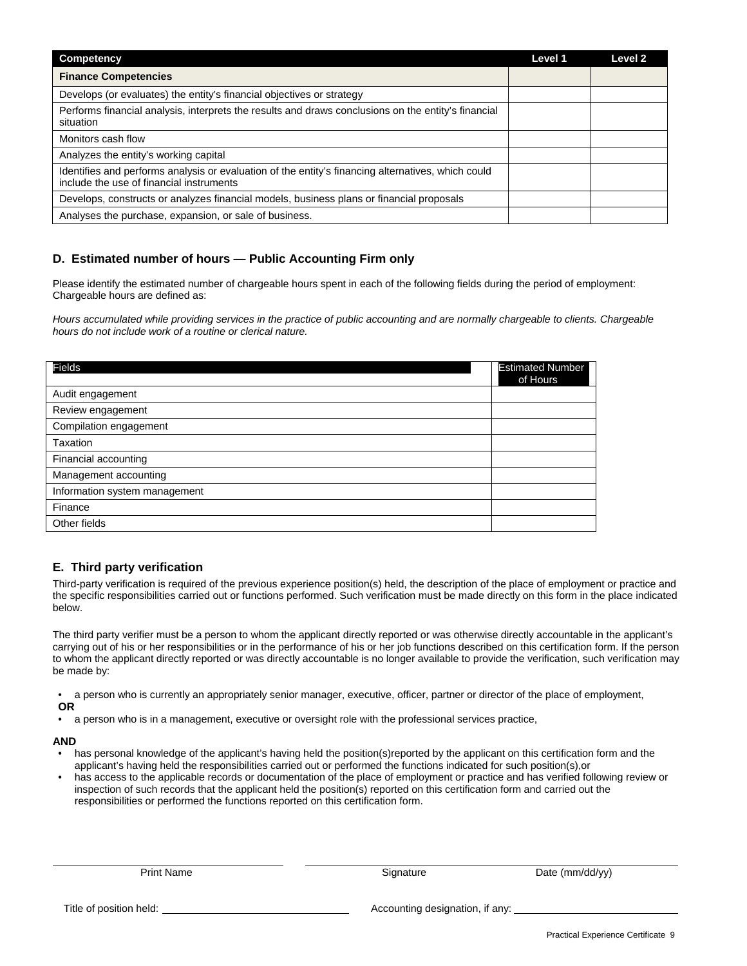| Competency                                                                                                                                     | Level 1 | Level 2 |
|------------------------------------------------------------------------------------------------------------------------------------------------|---------|---------|
| <b>Finance Competencies</b>                                                                                                                    |         |         |
| Develops (or evaluates) the entity's financial objectives or strategy                                                                          |         |         |
| Performs financial analysis, interprets the results and draws conclusions on the entity's financial<br>situation                               |         |         |
| Monitors cash flow                                                                                                                             |         |         |
| Analyzes the entity's working capital                                                                                                          |         |         |
| Identifies and performs analysis or evaluation of the entity's financing alternatives, which could<br>include the use of financial instruments |         |         |
| Develops, constructs or analyzes financial models, business plans or financial proposals                                                       |         |         |
| Analyses the purchase, expansion, or sale of business.                                                                                         |         |         |

### **D. Estimated number of hours — Public Accounting Firm only**

Please identify the estimated number of chargeable hours spent in each of the following fields during the period of employment: Chargeable hours are defined as:

*Hours accumulated while providing services in the practice of public accounting and are normally chargeable to clients. Chargeable hours do not include work of a routine or clerical nature.* 

| <b>Fields</b>                 | <b>Estimated Number</b><br>of Hours |
|-------------------------------|-------------------------------------|
| Audit engagement              |                                     |
| Review engagement             |                                     |
| Compilation engagement        |                                     |
| Taxation                      |                                     |
| Financial accounting          |                                     |
| Management accounting         |                                     |
| Information system management |                                     |
| Finance                       |                                     |
| Other fields                  |                                     |

### **E. Third party verification**

Third-party verification is required of the previous experience position(s) held, the description of the place of employment or practice and the specific responsibilities carried out or functions performed. Such verification must be made directly on this form in the place indicated below.

The third party verifier must be a person to whom the applicant directly reported or was otherwise directly accountable in the applicant's carrying out of his or her responsibilities or in the performance of his or her job functions described on this certification form. If the person to whom the applicant directly reported or was directly accountable is no longer available to provide the verification, such verification may be made by:

• a person who is currently an appropriately senior manager, executive, officer, partner or director of the place of employment, **OR** 

• a person who is in a management, executive or oversight role with the professional services practice,

#### **AND**

has personal knowledge of the applicant's having held the position(s)reported by the applicant on this certification form and the applicant's having held the responsibilities carried out or performed the functions indicated for such position(s),or

• has access to the applicable records or documentation of the place of employment or practice and has verified following review or inspection of such records that the applicant held the position(s) reported on this certification form and carried out the responsibilities or performed the functions reported on this certification form.

Print Name **Signature** Signature Date (mm/dd/yy)

Title of position held: Title of position held: Accounting designation, if any: